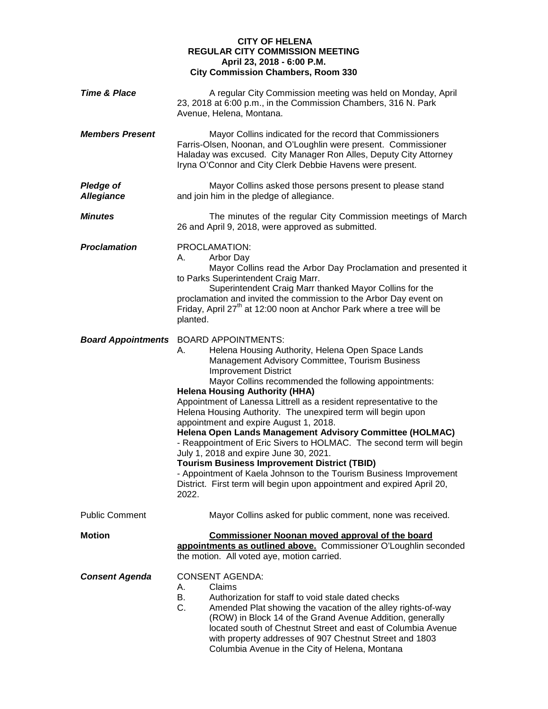## **CITY OF HELENA REGULAR CITY COMMISSION MEETING April 23, 2018 - 6:00 P.M. City Commission Chambers, Room 330**

| <b>Time &amp; Place</b>               | A regular City Commission meeting was held on Monday, April<br>23, 2018 at 6:00 p.m., in the Commission Chambers, 316 N. Park<br>Avenue, Helena, Montana.                                                                                                                                                                                                                                                                                                                                                                                                                                                                                                                                                                                                                                                                                                |
|---------------------------------------|----------------------------------------------------------------------------------------------------------------------------------------------------------------------------------------------------------------------------------------------------------------------------------------------------------------------------------------------------------------------------------------------------------------------------------------------------------------------------------------------------------------------------------------------------------------------------------------------------------------------------------------------------------------------------------------------------------------------------------------------------------------------------------------------------------------------------------------------------------|
| <b>Members Present</b>                | Mayor Collins indicated for the record that Commissioners<br>Farris-Olsen, Noonan, and O'Loughlin were present. Commissioner<br>Haladay was excused. City Manager Ron Alles, Deputy City Attorney<br>Iryna O'Connor and City Clerk Debbie Havens were present.                                                                                                                                                                                                                                                                                                                                                                                                                                                                                                                                                                                           |
| <b>Pledge of</b><br><b>Allegiance</b> | Mayor Collins asked those persons present to please stand<br>and join him in the pledge of allegiance.                                                                                                                                                                                                                                                                                                                                                                                                                                                                                                                                                                                                                                                                                                                                                   |
| <b>Minutes</b>                        | The minutes of the regular City Commission meetings of March<br>26 and April 9, 2018, were approved as submitted.                                                                                                                                                                                                                                                                                                                                                                                                                                                                                                                                                                                                                                                                                                                                        |
| <b>Proclamation</b>                   | PROCLAMATION:<br>Arbor Day<br>А.<br>Mayor Collins read the Arbor Day Proclamation and presented it<br>to Parks Superintendent Craig Marr.<br>Superintendent Craig Marr thanked Mayor Collins for the<br>proclamation and invited the commission to the Arbor Day event on<br>Friday, April 27 <sup>th</sup> at 12:00 noon at Anchor Park where a tree will be<br>planted.                                                                                                                                                                                                                                                                                                                                                                                                                                                                                |
| <b>Board Appointments</b>             | <b>BOARD APPOINTMENTS:</b><br>Helena Housing Authority, Helena Open Space Lands<br>А.<br>Management Advisory Committee, Tourism Business<br><b>Improvement District</b><br>Mayor Collins recommended the following appointments:<br><b>Helena Housing Authority (HHA)</b><br>Appointment of Lanessa Littrell as a resident representative to the<br>Helena Housing Authority. The unexpired term will begin upon<br>appointment and expire August 1, 2018.<br>Helena Open Lands Management Advisory Committee (HOLMAC)<br>- Reappointment of Eric Sivers to HOLMAC. The second term will begin<br>July 1, 2018 and expire June 30, 2021.<br><b>Tourism Business Improvement District (TBID)</b><br>- Appointment of Kaela Johnson to the Tourism Business Improvement<br>District. First term will begin upon appointment and expired April 20,<br>2022. |
| <b>Public Comment</b>                 | Mayor Collins asked for public comment, none was received.                                                                                                                                                                                                                                                                                                                                                                                                                                                                                                                                                                                                                                                                                                                                                                                               |
| <b>Motion</b>                         | <b>Commissioner Noonan moved approval of the board</b><br>appointments as outlined above. Commissioner O'Loughlin seconded<br>the motion. All voted aye, motion carried.                                                                                                                                                                                                                                                                                                                                                                                                                                                                                                                                                                                                                                                                                 |
| <b>Consent Agenda</b>                 | <b>CONSENT AGENDA:</b><br>Claims<br>А.<br>В.<br>Authorization for staff to void stale dated checks<br>C.<br>Amended Plat showing the vacation of the alley rights-of-way<br>(ROW) in Block 14 of the Grand Avenue Addition, generally<br>located south of Chestnut Street and east of Columbia Avenue<br>with property addresses of 907 Chestnut Street and 1803<br>Columbia Avenue in the City of Helena, Montana                                                                                                                                                                                                                                                                                                                                                                                                                                       |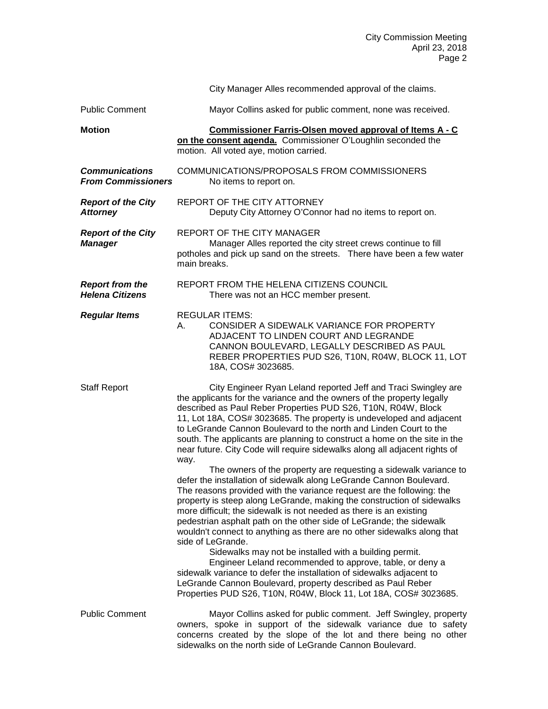|                                                    |              | City Manager Alles recommended approval of the claims.                                                                                                                                                                                                                                                                                                                                                                                                                                                                                                                                                                                                                                                                                                                                                                                                                                                                                                                                                                                                                                                                                                                                                                                                                                                                                                                                       |
|----------------------------------------------------|--------------|----------------------------------------------------------------------------------------------------------------------------------------------------------------------------------------------------------------------------------------------------------------------------------------------------------------------------------------------------------------------------------------------------------------------------------------------------------------------------------------------------------------------------------------------------------------------------------------------------------------------------------------------------------------------------------------------------------------------------------------------------------------------------------------------------------------------------------------------------------------------------------------------------------------------------------------------------------------------------------------------------------------------------------------------------------------------------------------------------------------------------------------------------------------------------------------------------------------------------------------------------------------------------------------------------------------------------------------------------------------------------------------------|
| <b>Public Comment</b>                              |              | Mayor Collins asked for public comment, none was received.                                                                                                                                                                                                                                                                                                                                                                                                                                                                                                                                                                                                                                                                                                                                                                                                                                                                                                                                                                                                                                                                                                                                                                                                                                                                                                                                   |
| <b>Motion</b>                                      |              | Commissioner Farris-Olsen moved approval of Items A - C<br>on the consent agenda. Commissioner O'Loughlin seconded the<br>motion. All voted aye, motion carried.                                                                                                                                                                                                                                                                                                                                                                                                                                                                                                                                                                                                                                                                                                                                                                                                                                                                                                                                                                                                                                                                                                                                                                                                                             |
| <b>Communications</b><br><b>From Commissioners</b> |              | COMMUNICATIONS/PROPOSALS FROM COMMISSIONERS<br>No items to report on.                                                                                                                                                                                                                                                                                                                                                                                                                                                                                                                                                                                                                                                                                                                                                                                                                                                                                                                                                                                                                                                                                                                                                                                                                                                                                                                        |
| <b>Report of the City</b><br><b>Attorney</b>       |              | REPORT OF THE CITY ATTORNEY<br>Deputy City Attorney O'Connor had no items to report on.                                                                                                                                                                                                                                                                                                                                                                                                                                                                                                                                                                                                                                                                                                                                                                                                                                                                                                                                                                                                                                                                                                                                                                                                                                                                                                      |
| <b>Report of the City</b><br><b>Manager</b>        | main breaks. | REPORT OF THE CITY MANAGER<br>Manager Alles reported the city street crews continue to fill<br>potholes and pick up sand on the streets. There have been a few water                                                                                                                                                                                                                                                                                                                                                                                                                                                                                                                                                                                                                                                                                                                                                                                                                                                                                                                                                                                                                                                                                                                                                                                                                         |
| <b>Report from the</b><br><b>Helena Citizens</b>   |              | REPORT FROM THE HELENA CITIZENS COUNCIL<br>There was not an HCC member present.                                                                                                                                                                                                                                                                                                                                                                                                                                                                                                                                                                                                                                                                                                                                                                                                                                                                                                                                                                                                                                                                                                                                                                                                                                                                                                              |
| <b>Regular Items</b>                               | А.           | <b>REGULAR ITEMS:</b><br>CONSIDER A SIDEWALK VARIANCE FOR PROPERTY<br>ADJACENT TO LINDEN COURT AND LEGRANDE<br>CANNON BOULEVARD, LEGALLY DESCRIBED AS PAUL<br>REBER PROPERTIES PUD S26, T10N, R04W, BLOCK 11, LOT<br>18A, COS# 3023685.                                                                                                                                                                                                                                                                                                                                                                                                                                                                                                                                                                                                                                                                                                                                                                                                                                                                                                                                                                                                                                                                                                                                                      |
| <b>Staff Report</b>                                | way.         | City Engineer Ryan Leland reported Jeff and Traci Swingley are<br>the applicants for the variance and the owners of the property legally<br>described as Paul Reber Properties PUD S26, T10N, R04W, Block<br>11, Lot 18A, COS# 3023685. The property is undeveloped and adjacent<br>to LeGrande Cannon Boulevard to the north and Linden Court to the<br>south. The applicants are planning to construct a home on the site in the<br>near future. City Code will require sidewalks along all adjacent rights of<br>The owners of the property are requesting a sidewalk variance to<br>defer the installation of sidewalk along LeGrande Cannon Boulevard.<br>The reasons provided with the variance request are the following: the<br>property is steep along LeGrande, making the construction of sidewalks<br>more difficult; the sidewalk is not needed as there is an existing<br>pedestrian asphalt path on the other side of LeGrande; the sidewalk<br>wouldn't connect to anything as there are no other sidewalks along that<br>side of LeGrande.<br>Sidewalks may not be installed with a building permit.<br>Engineer Leland recommended to approve, table, or deny a<br>sidewalk variance to defer the installation of sidewalks adjacent to<br>LeGrande Cannon Boulevard, property described as Paul Reber<br>Properties PUD S26, T10N, R04W, Block 11, Lot 18A, COS# 3023685. |
| <b>Public Comment</b>                              |              | Mayor Collins asked for public comment. Jeff Swingley, property<br>owners, spoke in support of the sidewalk variance due to safety<br>concerns created by the slope of the lot and there being no other<br>sidewalks on the north side of LeGrande Cannon Boulevard.                                                                                                                                                                                                                                                                                                                                                                                                                                                                                                                                                                                                                                                                                                                                                                                                                                                                                                                                                                                                                                                                                                                         |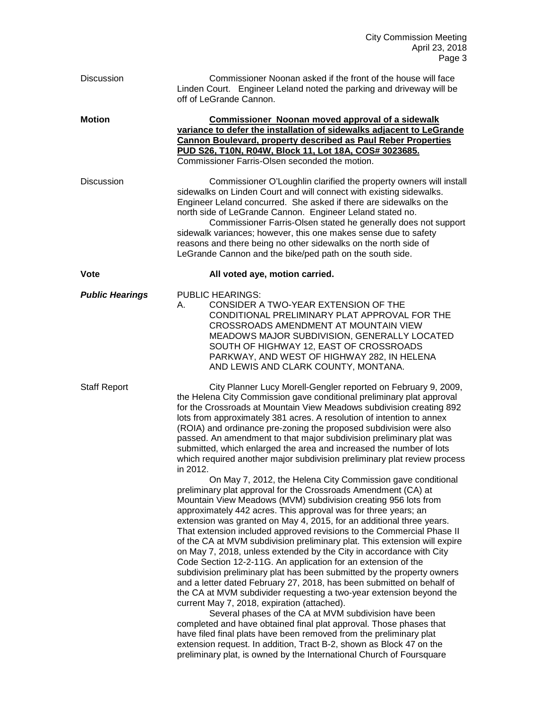| <b>Discussion</b>      | Commissioner Noonan asked if the front of the house will face<br>Linden Court. Engineer Leland noted the parking and driveway will be<br>off of LeGrande Cannon.                                                                                                                                                                                                                                                                                                                                                                                                                                                                                                                                                                                                                                                                                                                                                                                                                                                                                                                                                                                                                                                                                                                                                                                                                                                                                                                                                                                                                                                                                                                                                                                                                                                                                                             |
|------------------------|------------------------------------------------------------------------------------------------------------------------------------------------------------------------------------------------------------------------------------------------------------------------------------------------------------------------------------------------------------------------------------------------------------------------------------------------------------------------------------------------------------------------------------------------------------------------------------------------------------------------------------------------------------------------------------------------------------------------------------------------------------------------------------------------------------------------------------------------------------------------------------------------------------------------------------------------------------------------------------------------------------------------------------------------------------------------------------------------------------------------------------------------------------------------------------------------------------------------------------------------------------------------------------------------------------------------------------------------------------------------------------------------------------------------------------------------------------------------------------------------------------------------------------------------------------------------------------------------------------------------------------------------------------------------------------------------------------------------------------------------------------------------------------------------------------------------------------------------------------------------------|
| <b>Motion</b>          | <b>Commissioner Noonan moved approval of a sidewalk</b><br>variance to defer the installation of sidewalks adjacent to LeGrande<br><b>Cannon Boulevard, property described as Paul Reber Properties</b><br>PUD S26, T10N, R04W, Block 11, Lot 18A, COS# 3023685.<br>Commissioner Farris-Olsen seconded the motion.                                                                                                                                                                                                                                                                                                                                                                                                                                                                                                                                                                                                                                                                                                                                                                                                                                                                                                                                                                                                                                                                                                                                                                                                                                                                                                                                                                                                                                                                                                                                                           |
| <b>Discussion</b>      | Commissioner O'Loughlin clarified the property owners will install<br>sidewalks on Linden Court and will connect with existing sidewalks.<br>Engineer Leland concurred. She asked if there are sidewalks on the<br>north side of LeGrande Cannon. Engineer Leland stated no.<br>Commissioner Farris-Olsen stated he generally does not support<br>sidewalk variances; however, this one makes sense due to safety<br>reasons and there being no other sidewalks on the north side of<br>LeGrande Cannon and the bike/ped path on the south side.                                                                                                                                                                                                                                                                                                                                                                                                                                                                                                                                                                                                                                                                                                                                                                                                                                                                                                                                                                                                                                                                                                                                                                                                                                                                                                                             |
| <b>Vote</b>            | All voted aye, motion carried.                                                                                                                                                                                                                                                                                                                                                                                                                                                                                                                                                                                                                                                                                                                                                                                                                                                                                                                                                                                                                                                                                                                                                                                                                                                                                                                                                                                                                                                                                                                                                                                                                                                                                                                                                                                                                                               |
| <b>Public Hearings</b> | <b>PUBLIC HEARINGS:</b><br>CONSIDER A TWO-YEAR EXTENSION OF THE<br>А.<br>CONDITIONAL PRELIMINARY PLAT APPROVAL FOR THE<br>CROSSROADS AMENDMENT AT MOUNTAIN VIEW<br>MEADOWS MAJOR SUBDIVISION, GENERALLY LOCATED<br>SOUTH OF HIGHWAY 12, EAST OF CROSSROADS<br>PARKWAY, AND WEST OF HIGHWAY 282, IN HELENA<br>AND LEWIS AND CLARK COUNTY, MONTANA.                                                                                                                                                                                                                                                                                                                                                                                                                                                                                                                                                                                                                                                                                                                                                                                                                                                                                                                                                                                                                                                                                                                                                                                                                                                                                                                                                                                                                                                                                                                            |
| <b>Staff Report</b>    | City Planner Lucy Morell-Gengler reported on February 9, 2009,<br>the Helena City Commission gave conditional preliminary plat approval<br>for the Crossroads at Mountain View Meadows subdivision creating 892<br>lots from approximately 381 acres. A resolution of intention to annex<br>(ROIA) and ordinance pre-zoning the proposed subdivision were also<br>passed. An amendment to that major subdivision preliminary plat was<br>submitted, which enlarged the area and increased the number of lots<br>which required another major subdivision preliminary plat review process<br>in 2012.<br>On May 7, 2012, the Helena City Commission gave conditional<br>preliminary plat approval for the Crossroads Amendment (CA) at<br>Mountain View Meadows (MVM) subdivision creating 956 lots from<br>approximately 442 acres. This approval was for three years; an<br>extension was granted on May 4, 2015, for an additional three years.<br>That extension included approved revisions to the Commercial Phase II<br>of the CA at MVM subdivision preliminary plat. This extension will expire<br>on May 7, 2018, unless extended by the City in accordance with City<br>Code Section 12-2-11G. An application for an extension of the<br>subdivision preliminary plat has been submitted by the property owners<br>and a letter dated February 27, 2018, has been submitted on behalf of<br>the CA at MVM subdivider requesting a two-year extension beyond the<br>current May 7, 2018, expiration (attached).<br>Several phases of the CA at MVM subdivision have been<br>completed and have obtained final plat approval. Those phases that<br>have filed final plats have been removed from the preliminary plat<br>extension request. In addition, Tract B-2, shown as Block 47 on the<br>preliminary plat, is owned by the International Church of Foursquare |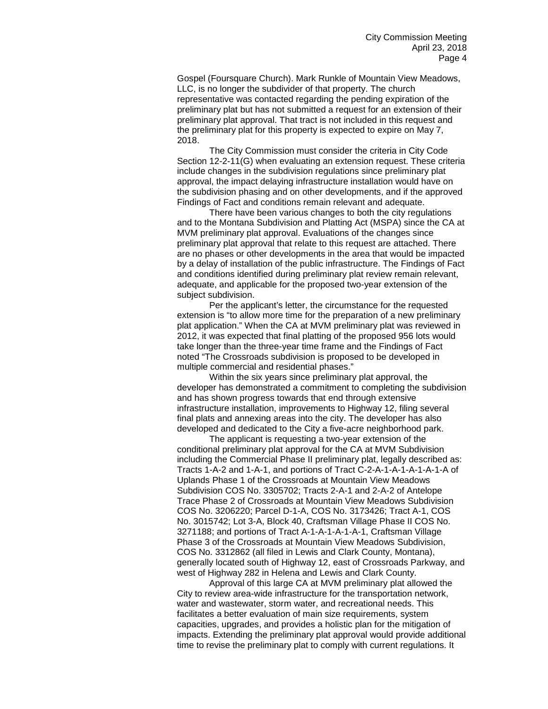Gospel (Foursquare Church). Mark Runkle of Mountain View Meadows, LLC, is no longer the subdivider of that property. The church representative was contacted regarding the pending expiration of the preliminary plat but has not submitted a request for an extension of their preliminary plat approval. That tract is not included in this request and the preliminary plat for this property is expected to expire on May 7, 2018.

The City Commission must consider the criteria in City Code Section 12-2-11(G) when evaluating an extension request. These criteria include changes in the subdivision regulations since preliminary plat approval, the impact delaying infrastructure installation would have on the subdivision phasing and on other developments, and if the approved Findings of Fact and conditions remain relevant and adequate.

There have been various changes to both the city regulations and to the Montana Subdivision and Platting Act (MSPA) since the CA at MVM preliminary plat approval. Evaluations of the changes since preliminary plat approval that relate to this request are attached. There are no phases or other developments in the area that would be impacted by a delay of installation of the public infrastructure. The Findings of Fact and conditions identified during preliminary plat review remain relevant, adequate, and applicable for the proposed two-year extension of the subject subdivision.

Per the applicant's letter, the circumstance for the requested extension is "to allow more time for the preparation of a new preliminary plat application." When the CA at MVM preliminary plat was reviewed in 2012, it was expected that final platting of the proposed 956 lots would take longer than the three-year time frame and the Findings of Fact noted "The Crossroads subdivision is proposed to be developed in multiple commercial and residential phases."

Within the six years since preliminary plat approval, the developer has demonstrated a commitment to completing the subdivision and has shown progress towards that end through extensive infrastructure installation, improvements to Highway 12, filing several final plats and annexing areas into the city. The developer has also developed and dedicated to the City a five-acre neighborhood park.

The applicant is requesting a two-year extension of the conditional preliminary plat approval for the CA at MVM Subdivision including the Commercial Phase II preliminary plat, legally described as: Tracts 1-A-2 and 1-A-1, and portions of Tract C-2-A-1-A-1-A-1-A-1-A of Uplands Phase 1 of the Crossroads at Mountain View Meadows Subdivision COS No. 3305702; Tracts 2-A-1 and 2-A-2 of Antelope Trace Phase 2 of Crossroads at Mountain View Meadows Subdivision COS No. 3206220; Parcel D-1-A, COS No. 3173426; Tract A-1, COS No. 3015742; Lot 3-A, Block 40, Craftsman Village Phase II COS No. 3271188; and portions of Tract A-1-A-1-A-1-A-1, Craftsman Village Phase 3 of the Crossroads at Mountain View Meadows Subdivision, COS No. 3312862 (all filed in Lewis and Clark County, Montana), generally located south of Highway 12, east of Crossroads Parkway, and west of Highway 282 in Helena and Lewis and Clark County.

Approval of this large CA at MVM preliminary plat allowed the City to review area-wide infrastructure for the transportation network, water and wastewater, storm water, and recreational needs. This facilitates a better evaluation of main size requirements, system capacities, upgrades, and provides a holistic plan for the mitigation of impacts. Extending the preliminary plat approval would provide additional time to revise the preliminary plat to comply with current regulations. It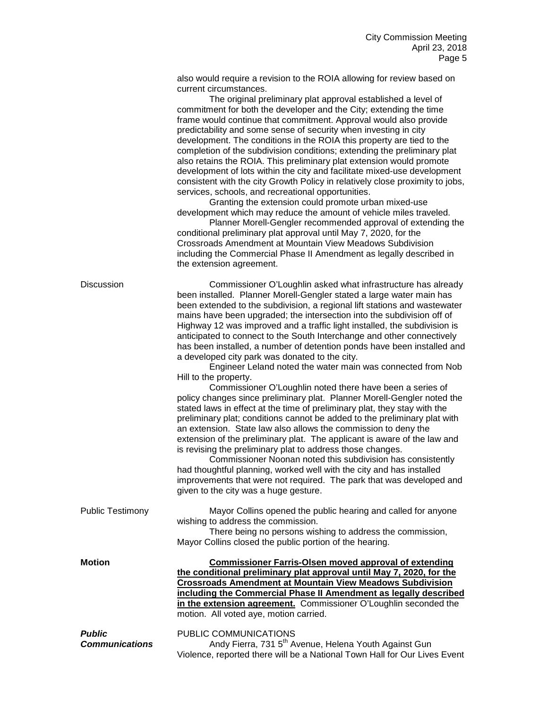also would require a revision to the ROIA allowing for review based on current circumstances.

|                                 | The original preliminary plat approval established a level of<br>commitment for both the developer and the City; extending the time<br>frame would continue that commitment. Approval would also provide<br>predictability and some sense of security when investing in city<br>development. The conditions in the ROIA this property are tied to the<br>completion of the subdivision conditions; extending the preliminary plat<br>also retains the ROIA. This preliminary plat extension would promote<br>development of lots within the city and facilitate mixed-use development<br>consistent with the city Growth Policy in relatively close proximity to jobs,<br>services, schools, and recreational opportunities.<br>Granting the extension could promote urban mixed-use<br>development which may reduce the amount of vehicle miles traveled.<br>Planner Morell-Gengler recommended approval of extending the<br>conditional preliminary plat approval until May 7, 2020, for the<br>Crossroads Amendment at Mountain View Meadows Subdivision<br>including the Commercial Phase II Amendment as legally described in<br>the extension agreement.                                                                                                                                                                                                                                                                                 |
|---------------------------------|------------------------------------------------------------------------------------------------------------------------------------------------------------------------------------------------------------------------------------------------------------------------------------------------------------------------------------------------------------------------------------------------------------------------------------------------------------------------------------------------------------------------------------------------------------------------------------------------------------------------------------------------------------------------------------------------------------------------------------------------------------------------------------------------------------------------------------------------------------------------------------------------------------------------------------------------------------------------------------------------------------------------------------------------------------------------------------------------------------------------------------------------------------------------------------------------------------------------------------------------------------------------------------------------------------------------------------------------------------------------------------------------------------------------------------------------|
| Discussion                      | Commissioner O'Loughlin asked what infrastructure has already<br>been installed. Planner Morell-Gengler stated a large water main has<br>been extended to the subdivision, a regional lift stations and wastewater<br>mains have been upgraded; the intersection into the subdivision off of<br>Highway 12 was improved and a traffic light installed, the subdivision is<br>anticipated to connect to the South Interchange and other connectively<br>has been installed, a number of detention ponds have been installed and<br>a developed city park was donated to the city.<br>Engineer Leland noted the water main was connected from Nob<br>Hill to the property.<br>Commissioner O'Loughlin noted there have been a series of<br>policy changes since preliminary plat. Planner Morell-Gengler noted the<br>stated laws in effect at the time of preliminary plat, they stay with the<br>preliminary plat; conditions cannot be added to the preliminary plat with<br>an extension. State law also allows the commission to deny the<br>extension of the preliminary plat. The applicant is aware of the law and<br>is revising the preliminary plat to address those changes.<br>Commissioner Noonan noted this subdivision has consistently<br>had thoughtful planning, worked well with the city and has installed<br>improvements that were not required. The park that was developed and<br>given to the city was a huge gesture. |
| <b>Public Testimony</b>         | Mayor Collins opened the public hearing and called for anyone<br>wishing to address the commission.<br>There being no persons wishing to address the commission,<br>Mayor Collins closed the public portion of the hearing.                                                                                                                                                                                                                                                                                                                                                                                                                                                                                                                                                                                                                                                                                                                                                                                                                                                                                                                                                                                                                                                                                                                                                                                                                    |
| Motion                          | <b>Commissioner Farris-Olsen moved approval of extending</b><br>the conditional preliminary plat approval until May 7, 2020, for the<br><b>Crossroads Amendment at Mountain View Meadows Subdivision</b><br>including the Commercial Phase II Amendment as legally described<br>in the extension agreement. Commissioner O'Loughlin seconded the<br>motion. All voted aye, motion carried.                                                                                                                                                                                                                                                                                                                                                                                                                                                                                                                                                                                                                                                                                                                                                                                                                                                                                                                                                                                                                                                     |
| Public<br><b>Communications</b> | PUBLIC COMMUNICATIONS<br>Andy Fierra, 731 5 <sup>th</sup> Avenue, Helena Youth Against Gun<br>Violence, reported there will be a National Town Hall for Our Lives Event                                                                                                                                                                                                                                                                                                                                                                                                                                                                                                                                                                                                                                                                                                                                                                                                                                                                                                                                                                                                                                                                                                                                                                                                                                                                        |